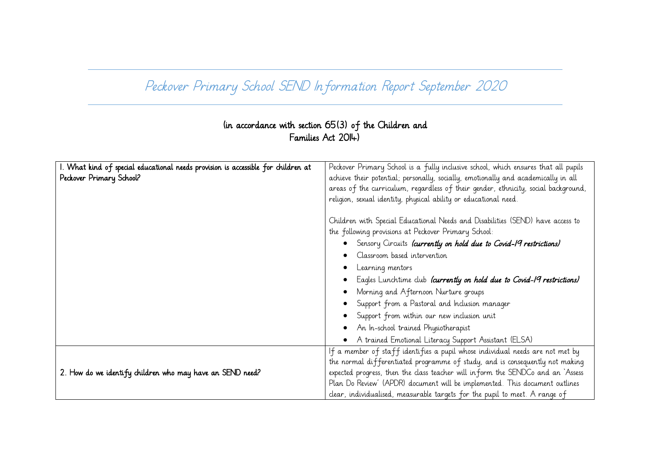## Peckover Primary School SEND Information Report September 2020

## (in accordance with section 65(3) of the Children and Families Act 2014)

| I. What kind of special educational needs provision is accessible for children at | Peckover Primary School is a fully inclusive school, which ensures that all pupils |
|-----------------------------------------------------------------------------------|------------------------------------------------------------------------------------|
| Peckover Primary School?                                                          | achieve their potential; personally, socially, emotionally and academically in all |
|                                                                                   | areas of the curriculum, regardless of their gender, ethnicity, social background, |
|                                                                                   | religion, sexual identity, physical ability or educational need.                   |
|                                                                                   |                                                                                    |
|                                                                                   | Children with Special Educational Needs and Disabilities (SEND) have access to     |
|                                                                                   | the following provisions at Peckover Primary School:                               |
|                                                                                   | Sensory Circuits (currently on hold due to Covid-19 restrictions)                  |
|                                                                                   | Classroom based intervention                                                       |
|                                                                                   | Learning mentors                                                                   |
|                                                                                   | Eagles Lunchtime club <i>(currently on hold due to Covid-19 restrictions)</i>      |
|                                                                                   | Morning and Afternoon Nurture groups                                               |
|                                                                                   | Support from a Pastoral and Inclusion manager                                      |
|                                                                                   | Support from within our new inclusion unit                                         |
|                                                                                   | An In-school trained Physiotherapist                                               |
|                                                                                   | A trained Emotional Literacy Support Assistant (ELSA)                              |
|                                                                                   | If a member of staff identifies a pupil whose individual needs are not met by      |
|                                                                                   | the normal differentiated programme of study, and is consequently not making       |
| 2. How do we identify children who may have an SEND need?                         | expected progress, then the class teacher will inform the SENDCo and an `Assess    |
|                                                                                   | Plan Do Review' (APDR) document will be implemented. This document outlines        |
|                                                                                   | clear, individualised, measurable targets for the pupil to meet. A range of        |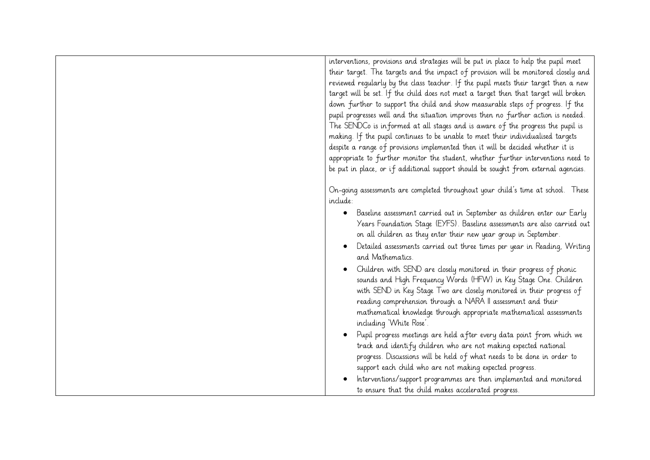interventions, provisions and strategies will be put in place to help the pupil meet their target. The targets and the impact of provision will be monitored closely and reviewed regularly by the class teacher. If the pupil meets their target then a new target will be set. If the child does not meet a target then that target will broken down further to support the child and show measurable steps of progress. If the pupil progresses well and the situation improves then no further action is needed. The SENDCo is informed at all stages and is aware of the progress the pupil is making. If the pupil continues to be unable to meet their individualised targets despite a range of provisions implemented then it will be decided whether it is appropriate to further monitor the student, whether further interventions need to be put in place, or if additional support should be sought from external agencies. On-going assessments are completed throughout your child's time at school. These include: Baseline assessment carried out in September as children enter our Early Years Foundation Stage (EYFS). Baseline assessments are also carried out on all children as they enter their new year group in September. Detailed assessments carried out three times per year in Reading, Writing and Mathematics. Children with SEND are closely monitored in their progress of phonic sounds and High Frequency Words (HFW) in Key Stage One. Children with SEND in Key Stage Two are closely monitored in their progress of reading comprehension through a NARA II assessment and their mathematical knowledge through appropriate mathematical assessments including 'White Rose'. Pupil progress meetings are held after every data point from which we track and identify children who are not making expected national progress. Discussions will be held of what needs to be done in order to support each child who are not making expected progress. Interventions/support programmes are then implemented and monitored to ensure that the child makes accelerated progress.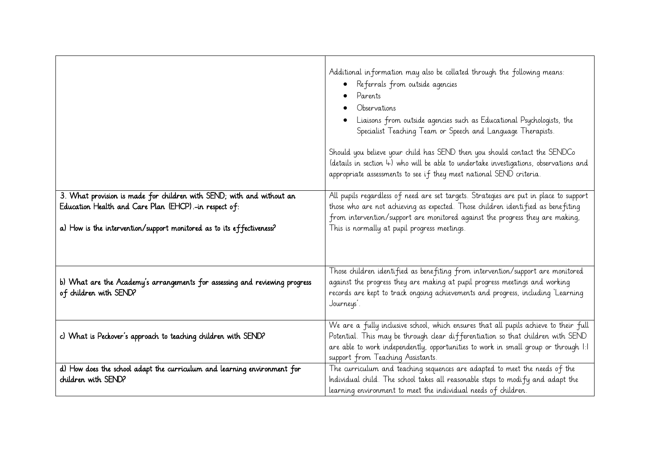|                                                                                                                                                                                                         | Additional information may also be collated through the following means:<br>Referrals from outside agencies<br>Parents<br>Observations<br>Liaisons from outside agencies such as Educational Psychologists, the<br>Specialist Teaching Team or Speech and Language Therapists.<br>Should you believe your child has SEND then you should contact the SENDCo<br>(details in section 4) who will be able to undertake investigations, observations and<br>appropriate assessments to see if they meet national SEND criteria. |
|---------------------------------------------------------------------------------------------------------------------------------------------------------------------------------------------------------|-----------------------------------------------------------------------------------------------------------------------------------------------------------------------------------------------------------------------------------------------------------------------------------------------------------------------------------------------------------------------------------------------------------------------------------------------------------------------------------------------------------------------------|
| 3. What provision is made for children with SEND; with and without an<br>Education Health and Care Plan (EHCP).-in respect of:<br>a) How is the intervention/support monitored as to its effectiveness? | All pupils regardless of need are set targets. Strategies are put in place to support<br>those who are not achieving as expected. Those children identified as benefiting<br>from intervention/support are monitored against the progress they are making,<br>This is normally at pupil progress meetings.                                                                                                                                                                                                                  |
|                                                                                                                                                                                                         |                                                                                                                                                                                                                                                                                                                                                                                                                                                                                                                             |
| b) What are the Academy's arrangements for assessing and reviewing progress<br>of children with SEND?                                                                                                   | Those children identified as benefiting from intervention/support are monitored<br>against the progress they are making at pupil progress meetings and working<br>records are kept to track ongoing achievements and progress, including 'Learning<br>Journeys'.                                                                                                                                                                                                                                                            |
| c) What is Peckover's approach to teaching children with SEND?                                                                                                                                          | We are a fully inclusive school, which ensures that all pupils achieve to their full<br>Potential. This may be through clear differentiation so that children with SEND<br>are able to work independently, opportunities to work in small group or through 1:1<br>support from Teaching Assistants.                                                                                                                                                                                                                         |
| d) How does the school adapt the curriculum and learning environment for<br>children with SEND?                                                                                                         | The curriculum and teaching sequences are adapted to meet the needs of the<br>Individual child. The school takes all reasonable steps to modify and adapt the<br>learning environment to meet the individual needs of children.                                                                                                                                                                                                                                                                                             |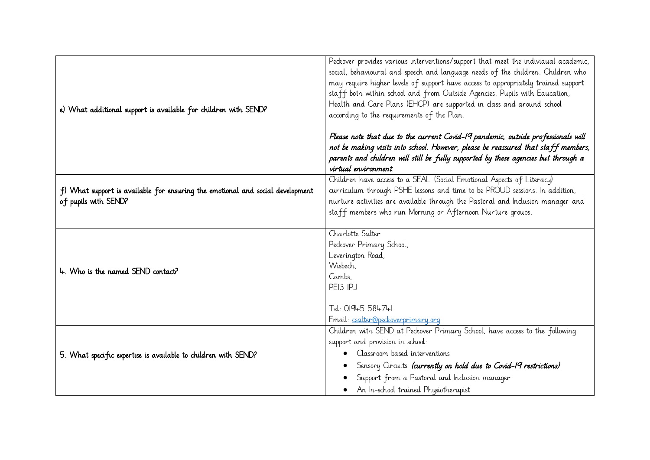| e) What additional support is available for children with SEND?                                        | Peckover provides various interventions/support that meet the individual academic,<br>social, behavioural and speech and language needs of the children. Children who<br>may require higher levels of support have access to appropriately trained support<br>staff both within school and from Outside Agencies. Pupils with Education,<br>Health and Care Plans (EHCP) are supported in class and around school<br>according to the requirements of the Plan.<br>Please note that due to the current Covid-19 pandemic, outside professionals will<br>not be making visits into school. However, please be reassured that staff members,<br>parents and children will still be fully supported by these agencies but through a<br>virtual environment. |
|--------------------------------------------------------------------------------------------------------|----------------------------------------------------------------------------------------------------------------------------------------------------------------------------------------------------------------------------------------------------------------------------------------------------------------------------------------------------------------------------------------------------------------------------------------------------------------------------------------------------------------------------------------------------------------------------------------------------------------------------------------------------------------------------------------------------------------------------------------------------------|
| f) What support is available for ensuring the emotional and social development<br>of pupils with SEND? | Children have access to a SEAL (Social Emotional Aspects of Literacy)<br>curriculum through PSHE lessons and time to be PROUD sessions. In addition,<br>nurture activities are available through the Pastoral and Inclusion manager and<br>staff members who run Morning or Afternoon Nurture groups.                                                                                                                                                                                                                                                                                                                                                                                                                                                    |
| 4. Who is the named SEND contact?                                                                      | Charlotte Salter<br>Peckover Primary School,<br>Leverington Road,<br>Wisbech,<br>Cambs.<br>PEI3 IPJ<br>Tel: 01945 584741<br>Email: csalter@peckoverprimary.org                                                                                                                                                                                                                                                                                                                                                                                                                                                                                                                                                                                           |
| 5. What specific expertise is available to children with SEND?                                         | Children with SEND at Peckover Primary School, have access to the following<br>support and provision in school:<br>Classroom based interventions<br>Sensory Circuits laurrently on hold due to Covid-19 restrictions)<br>Support from a Pastoral and Inclusion manager<br>An In-school trained Physiotherapist                                                                                                                                                                                                                                                                                                                                                                                                                                           |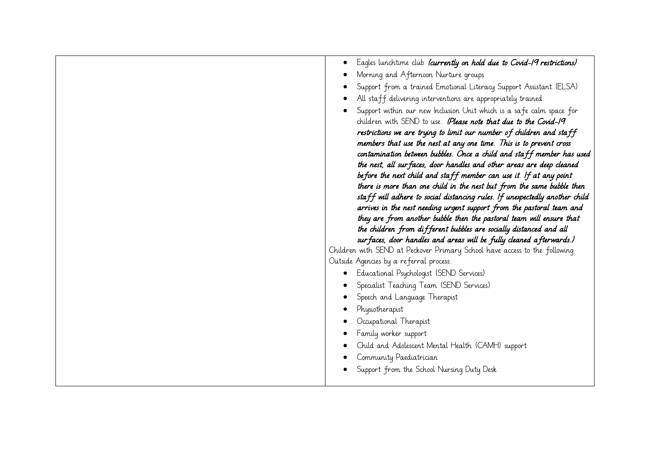| Eagles lunchtime club (currently on hold due to Covid-19 restrictions)                                                                       |
|----------------------------------------------------------------------------------------------------------------------------------------------|
| Morning and Afternoon Nurture groups                                                                                                         |
| Support from a trained Emotional Literacy Support Assistant (ELSA)                                                                           |
| All staff delivering interventions are appropriately trained.                                                                                |
| Support within our new Inclusion Unit which is a safe calm space for                                                                         |
| children with SEND to use. (Please note that due to the Covid-19                                                                             |
| restrictions we are trying to limit our number of children and staff                                                                         |
| members that use the nest at any one time. This is to prevent cross                                                                          |
| contamination between bubbles. Once a child and staff member has used                                                                        |
| the nest, all sur faces, door handles and other areas are deep cleaned                                                                       |
| before the next child and staff member can use it. If at any point<br>there is more than one child in the nest but from the same bubble then |
| staff will adhere to social distancing rules. If unexpectedly another child                                                                  |
| arrives in the nest needing urgent support from the pastoral team and                                                                        |
| they are from another bubble then the pastoral team will ensure that                                                                         |
| the children from different bubbles are socially distanced and all                                                                           |
| sur faces, door handles and areas will be fully cleaned afterwards.)                                                                         |
| Children with SEND at Peckover Primary School have access to the following                                                                   |
| Outside Agencies by a referral process:                                                                                                      |
| Educational Psychologist (SEND Services)                                                                                                     |
| Specialist Teaching Team (SEND Services)                                                                                                     |
| Speech and Language Therapist                                                                                                                |
| Physiotherapist                                                                                                                              |
| Occupational Therapist                                                                                                                       |
| Family worker support                                                                                                                        |
| Child and Adolescent Mental Health (CAMH) support                                                                                            |
| Community Paediatrician                                                                                                                      |
| Support from the School Nursing Duty Desk                                                                                                    |
|                                                                                                                                              |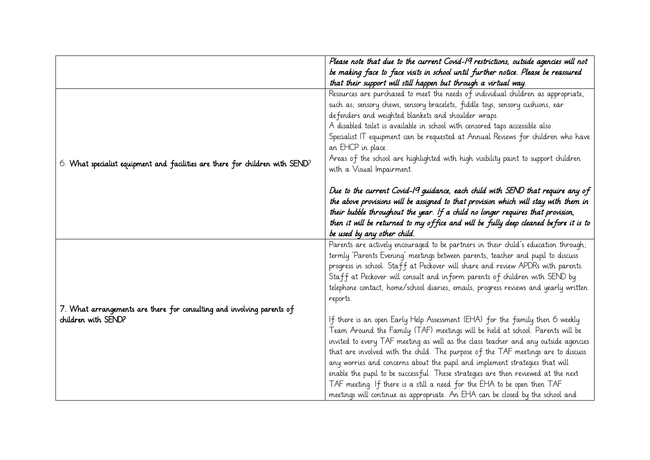|                                                                               | Please note that due to the current Covid-19 restrictions, outside agencies will not |
|-------------------------------------------------------------------------------|--------------------------------------------------------------------------------------|
|                                                                               | be making face to face visits in school until further notice. Please be reassured    |
|                                                                               | that their support will still happen but through a virtual way.                      |
|                                                                               | Resources are purchased to meet the needs of individual children as appropriate,     |
|                                                                               | such as; sensory chews, sensory bracelets, fiddle toys, sensory cushions, ear        |
|                                                                               | defenders and weighted blankets and shoulder wraps.                                  |
|                                                                               | A disabled toilet is available in school with censored taps accessible also.         |
|                                                                               | Specialist IT equipment can be requested at Annual Reviews for children who have     |
|                                                                               | an EHCP in place.                                                                    |
| 6. What specialist equipment and facilities are there for children with SEND? | Areas of the school are highlighted with high visibility paint to support children   |
|                                                                               | with a Visual Impairment.                                                            |
|                                                                               |                                                                                      |
|                                                                               | Due to the current Covid-19 guidance, each child with SEND that require any of       |
|                                                                               | the above provisions will be assigned to that provision which will stay with them in |
|                                                                               | their bubble throughout the year. If a child no longer requires that provision,      |
|                                                                               | then it will be returned to my office and will be fully deep cleaned before it is to |
|                                                                               | be used by any other child.                                                          |
|                                                                               | Parents are actively encouraged to be partners in their child's education through;   |
|                                                                               | termly 'Parents Evening' meetings between parents, teacher and pupil to discuss      |
|                                                                               | progress in school. Staff at Peckover will share and review APDRs with parents.      |
|                                                                               | Staff at Peckover will consult and inform parents of children with SEND by           |
|                                                                               | telephone contact, home/school diaries, emails, progress reviews and yearly written  |
|                                                                               | reports.                                                                             |
| 7. What arrangements are there for consulting and involving parents of        |                                                                                      |
| children with SEND?                                                           | If there is an open Early Help Assessment (EHA) for the family then 6 weekly         |
|                                                                               | Team Around the Family (TAF) meetings will be held at school. Parents will be        |
|                                                                               | invited to every TAF meeting as well as the class teacher and any outside agencies   |
|                                                                               | that are involved with the child. The purpose of the TAF meetings are to discuss     |
|                                                                               | any worries and concerns about the pupil and implement strategies that will          |
|                                                                               | enable the pupil to be successful. These strategies are then reviewed at the next    |
|                                                                               | TAF meeting. If there is a still a need for the EHA to be open then TAF              |
|                                                                               | meetings will continue as appropriate. An EHA can be closed by the school and        |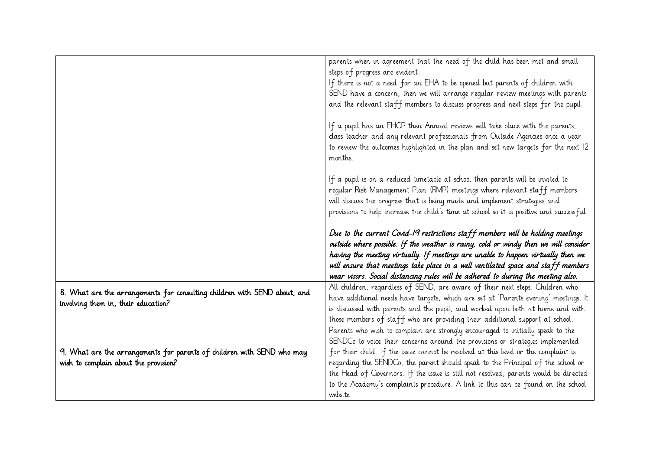|                                                                                                                 | parents when in agreement that the need of the child has been met and small                                                                                             |
|-----------------------------------------------------------------------------------------------------------------|-------------------------------------------------------------------------------------------------------------------------------------------------------------------------|
|                                                                                                                 | steps of progress are evident.                                                                                                                                          |
|                                                                                                                 | If there is not a need for an EHA to be opened but parents of children with                                                                                             |
|                                                                                                                 | SEND have a concern, then we will arrange regular review meetings with parents                                                                                          |
|                                                                                                                 | and the relevant staff members to discuss progress and next steps for the pupil.                                                                                        |
|                                                                                                                 |                                                                                                                                                                         |
|                                                                                                                 | If a pupil has an EHCP then Annual reviews will take place with the parents,                                                                                            |
|                                                                                                                 | class teacher and any relevant professionals from Outside Agencies once a year                                                                                          |
|                                                                                                                 | to review the outcomes highlighted in the plan and set new targets for the next 12<br>months.                                                                           |
|                                                                                                                 |                                                                                                                                                                         |
|                                                                                                                 | If a pupil is on a reduced timetable at school then parents will be invited to                                                                                          |
|                                                                                                                 | reqular Risk Management Plan (RMP) meetings where relevant staff members                                                                                                |
|                                                                                                                 | will discuss the progress that is being made and implement strategies and                                                                                               |
|                                                                                                                 | provisions to help increase the child's time at school so it is positive and successful.                                                                                |
|                                                                                                                 |                                                                                                                                                                         |
|                                                                                                                 |                                                                                                                                                                         |
|                                                                                                                 | Due to the current Covid-19 restrictions staff members will be holding meetings                                                                                         |
|                                                                                                                 | outside where possible. If the weather is rainy, cold or windy then we will consider                                                                                    |
|                                                                                                                 | having the meeting virtually. If meetings are unable to happen virtually then we                                                                                        |
|                                                                                                                 | will ensure that meetings take place in a well ventilated space and staff members                                                                                       |
|                                                                                                                 | wear visors. Social distancing rules will be adhered to during the meeting also.                                                                                        |
|                                                                                                                 |                                                                                                                                                                         |
| 8. What are the arrangements for consulting children with SEND about, and                                       | All children, regardless of SEND, are aware of their next steps. Children who                                                                                           |
| involving them in, their education?                                                                             | have additional needs have targets, which are set at 'Parents evening' meetings. It                                                                                     |
|                                                                                                                 | is discussed with parents and the pupil, and worked upon both at home and with                                                                                          |
|                                                                                                                 | those members of staff who are providing their additional support at school.                                                                                            |
|                                                                                                                 | Parents who wish to complain are strongly encouraged to initially speak to the                                                                                          |
|                                                                                                                 | SENDCo to voice their concerns around the provisions or strategies implemented<br>for their child. If the issue cannot be resolved at this level or the complaint is    |
| 9. What are the arrangements for parents of children with SEND who may<br>wish to complain about the provision? |                                                                                                                                                                         |
|                                                                                                                 | regarding the SENDCo, the parent should speak to the Principal of the school or<br>the Head of Governors. If the issue is still not resolved, parents would be directed |
|                                                                                                                 |                                                                                                                                                                         |
|                                                                                                                 | to the Academy's complaints procedure. A link to this can be found on the school<br>website.                                                                            |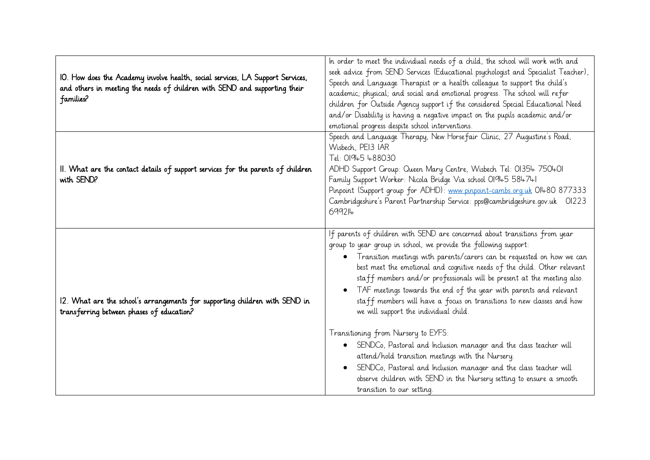| IO. How does the Academy involve health, social services, LA Support Services,<br>and others in meeting the needs of children with SEND and supporting their<br>families? | In order to meet the individual needs of a child, the school will work with and<br>seek advice from SEND Services (Educational psychologist and Specialist Teacher),<br>Speech and Language Therapist or a health colleague to support the child's<br>academic; physical; and social and emotional progress. The school will refer<br>children for Outside Agency support if the considered Special Educational Need<br>and/or Disability is having a negative impact on the pupils academic and/or<br>emotional progress despite school interventions.                                                                                                                                                                                                                                                                                                                                                                                       |
|---------------------------------------------------------------------------------------------------------------------------------------------------------------------------|-----------------------------------------------------------------------------------------------------------------------------------------------------------------------------------------------------------------------------------------------------------------------------------------------------------------------------------------------------------------------------------------------------------------------------------------------------------------------------------------------------------------------------------------------------------------------------------------------------------------------------------------------------------------------------------------------------------------------------------------------------------------------------------------------------------------------------------------------------------------------------------------------------------------------------------------------|
| II. What are the contact details of support services for the parents of children<br>with SEND?                                                                            | Speech and Language Therapy, New Horse fair Clinic, 27 Augustine's Road,<br>Wisbech, PEI3 IAR<br>Tel: 01945 488030<br>ADHD Support Group: Queen Mary Centre, Wisbech Tel: 01354 750401<br>Family Support Worker: Nicola Bridge Via school 01945 584741<br>Pinpoint (Support group for ADHD): www.pinpoint-cambs.org.uk OI480 877333<br>Cambridgeshire's Parent Partnership Service: pps@cambridgeshire.gov.uk 01223<br>699214                                                                                                                                                                                                                                                                                                                                                                                                                                                                                                                 |
| 12. What are the school's arrangements for supporting children with SEND in<br>transferring between phases of education?                                                  | If parents of children with SEND are concerned about transitions from year<br>group to year group in school, we provide the following support:<br>Transition meetings with parents/carers can be requested on how we can<br>$\bullet$<br>best meet the emotional and cognitive needs of the child. Other relevant<br>staff members and/or professionals will be present at the meeting also.<br>TAF meetings towards the end of the year with parents and relevant<br>staff members will have a focus on transitions to new classes and how<br>we will support the individual child.<br>Transitioning from Nursery to EYFS:<br>SENDCo, Pastoral and Inclusion manager and the class teacher will<br>$\bullet$<br>attend/hold transition meetings with the Nursery.<br>SENDCo, Pastoral and Inclusion manager and the class teacher will<br>observe children with SEND in the Nursery setting to ensure a smooth<br>transition to our setting. |